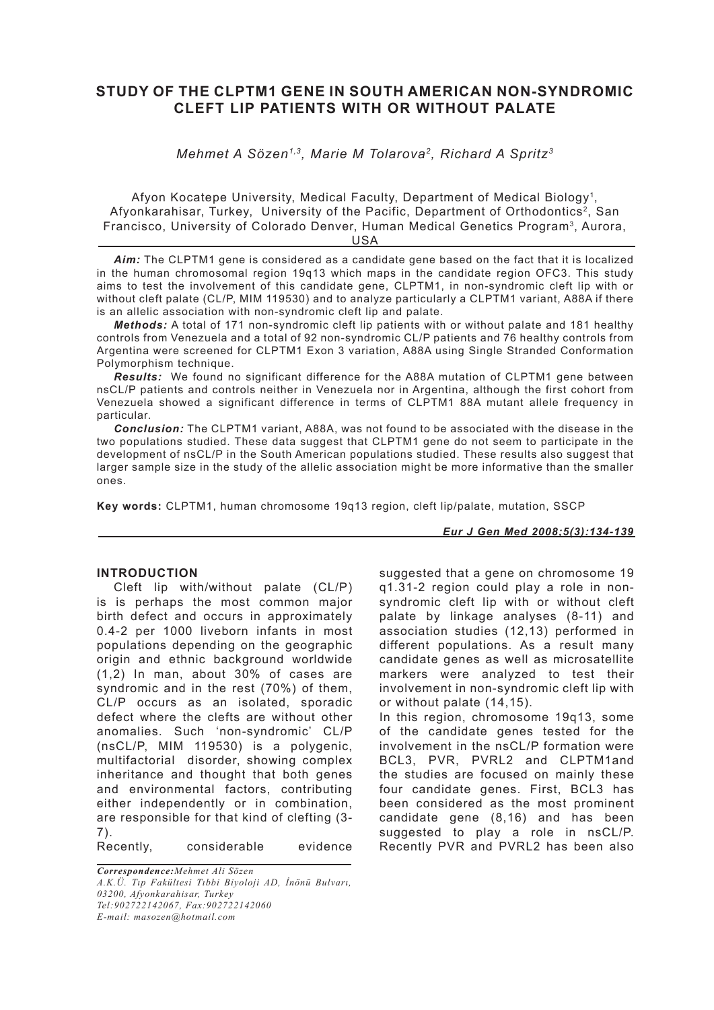# **STUDY OF THE CLPTM1 GENE IN SOUTH AMERICAN NON-SYNDROMIC CLEFT LIP PATIENTS WITH OR WITHOUT PALATE**

*Mehmet A Sözen1,3, Marie M Tolarova2, Richard A Spritz3*

Afyon Kocatepe University, Medical Faculty, Department of Medical Biology1, Afyonkarahisar, Turkey, University of the Pacific, Department of Orthodontics2, San Francisco, University of Colorado Denver, Human Medical Genetics Program<sup>3</sup>, Aurora,

USA

*Aim:* The CLPTM1 gene is considered as a candidate gene based on the fact that it is localized in the human chromosomal region 19q13 which maps in the candidate region OFC3. This study aims to test the involvement of this candidate gene, CLPTM1, in non-syndromic cleft lip with or without cleft palate (CL/P, MIM 119530) and to analyze particularly a CLPTM1 variant, A88A if there is an allelic association with non-syndromic cleft lip and palate.

*Methods:* A total of 171 non-syndromic cleft lip patients with or without palate and 181 healthy controls from Venezuela and a total of 92 non-syndromic CL/P patients and 76 healthy controls from Argentina were screened for CLPTM1 Exon 3 variation, A88A using Single Stranded Conformation Polymorphism technique.

*Results:* We found no significant difference for the A88A mutation of CLPTM1 gene between nsCL/P patients and controls neither in Venezuela nor in Argentina, although the first cohort from Venezuela showed a significant difference in terms of CLPTM1 88A mutant allele frequency in particular.

*Conclusion:* The CLPTM1 variant, A88A, was not found to be associated with the disease in the two populations studied. These data suggest that CLPTM1 gene do not seem to participate in the development of nsCL/P in the South American populations studied. These results also suggest that larger sample size in the study of the allelic association might be more informative than the smaller ones.

**Key words:** CLPTM1, human chromosome 19q13 region, cleft lip/palate, mutation, SSCP

*Eur J Gen Med 2008;5(3):134-139*

## **INTRODUCTION**

Cleft lip with/without palate (CL/P) is is perhaps the most common major birth defect and occurs in approximately 0.4-2 per 1000 liveborn infants in most populations depending on the geographic origin and ethnic background worldwide (1,2) In man, about 30% of cases are syndromic and in the rest (70%) of them, CL/P occurs as an isolated, sporadic defect where the clefts are without other anomalies. Such 'non-syndromic' CL/P (nsCL/P, MIM 119530) is a polygenic, multifactorial disorder, showing complex inheritance and thought that both genes and environmental factors, contributing either independently or in combination, are responsible for that kind of clefting (3- 7).

Recently, considerable evidence

*Correspondence:Mehmet Ali Sözen A.K.Ü. Tıp Fakültesi Tıbbi Biyoloji AD, İnönü Bulvarı, 03200, Afyonkarahisar, Turkey Tel:902722142067, Fax:902722142060 E-mail: masozen@hotmail.com*

suggested that a gene on chromosome 19 q1.31-2 region could play a role in nonsyndromic cleft lip with or without cleft palate by linkage analyses (8-11) and association studies (12,13) performed in different populations. As a result many candidate genes as well as microsatellite markers were analyzed to test their involvement in non-syndromic cleft lip with or without palate (14,15). In this region, chromosome 19q13, some

of the candidate genes tested for the involvement in the nsCL/P formation were BCL3, PVR, PVRL2 and CLPTM1and the studies are focused on mainly these four candidate genes. First, BCL3 has been considered as the most prominent candidate gene (8,16) and has been suggested to play a role in nsCL/P. Recently PVR and PVRL2 has been also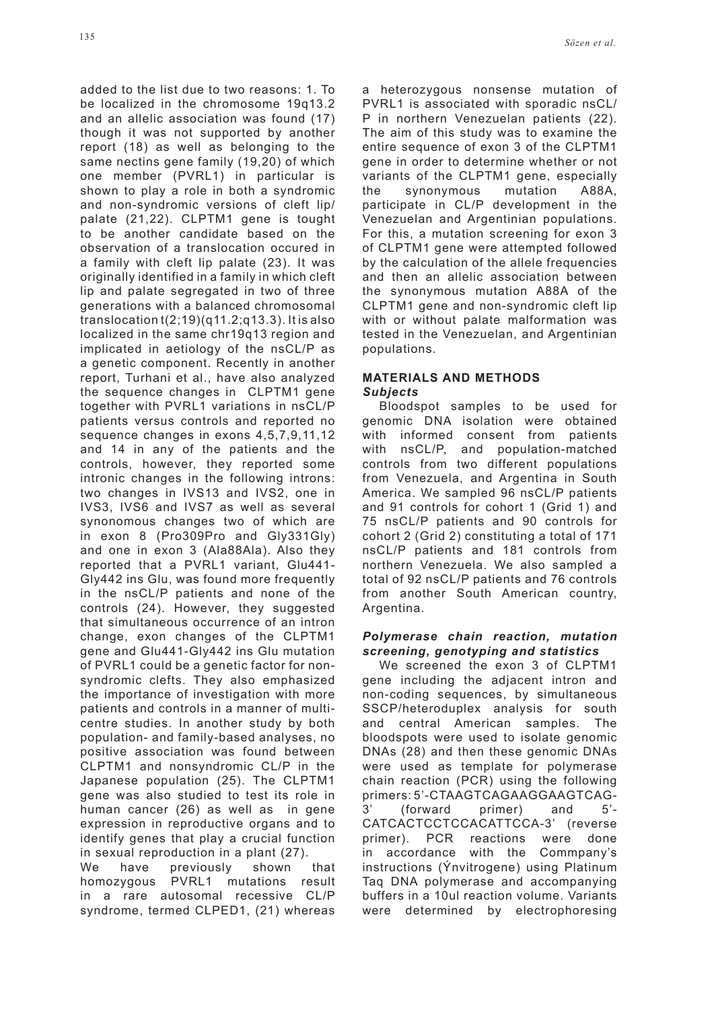added to the list due to two reasons: 1. To be localized in the chromosome 19q13.2 and an allelic association was found (17) though it was not supported by another report (18) as well as belonging to the same nectins gene family (19,20) of which one member (PVRL1) in particular is shown to play a role in both a syndromic and non-syndromic versions of cleft lip/ palate (21,22). CLPTM1 gene is tought to be another candidate based on the observation of a translocation occured in a family with cleft lip palate (23). It was originally identified in a family in which cleft lip and palate segregated in two of three generations with a balanced chromosomal translocation t(2;19)(q11.2;q13.3). It is also localized in the same chr19q13 region and implicated in aetiology of the nsCL/P as a genetic component. Recently in another report, Turhani et al., have also analyzed the sequence changes in CLPTM1 gene together with PVRL1 variations in nsCL/P patients versus controls and reported no sequence changes in exons 4,5,7,9,11,12 and 14 in any of the patients and the controls, however, they reported some intronic changes in the following introns: two changes in IVS13 and IVS2, one in IVS3, IVS6 and IVS7 as well as several synonomous changes two of which are in exon 8 (Pro309Pro and Gly331Gly) and one in exon 3 (Ala88Ala). Also they reported that a PVRL1 variant, Glu441- Gly442 ins Glu, was found more frequently in the nsCL/P patients and none of the controls (24). However, they suggested that simultaneous occurrence of an intron change, exon changes of the CLPTM1 gene and Glu441-Gly442 ins Glu mutation of PVRL1 could be a genetic factor for nonsyndromic clefts. They also emphasized the importance of investigation with more patients and controls in a manner of multicentre studies. In another study by both population- and family-based analyses, no positive association was found between CLPTM1 and nonsyndromic CL/P in the Japanese population (25). The CLPTM1 gene was also studied to test its role in human cancer (26) as well as in gene expression in reproductive organs and to identify genes that play a crucial function in sexual reproduction in a plant (27).

We have previously shown that homozygous PVRL1 mutations result in a rare autosomal recessive CL/P syndrome, termed CLPED1, (21) whereas

a heterozygous nonsense mutation of PVRL1 is associated with sporadic nsCL/ P in northern Venezuelan patients (22). The aim of this study was to examine the entire sequence of exon 3 of the CLPTM1 gene in order to determine whether or not variants of the CLPTM1 gene, especially the synonymous mutation A88A, participate in CL/P development in the Venezuelan and Argentinian populations. For this, a mutation screening for exon 3 of CLPTM1 gene were attempted followed by the calculation of the allele frequencies and then an allelic association between the synonymous mutation A88A of the CLPTM1 gene and non-syndromic cleft lip with or without palate malformation was tested in the Venezuelan, and Argentinian populations.

# **MATERIALS AND METHODS** *Subjects*

Bloodspot samples to be used for genomic DNA isolation were obtained with informed consent from patients with nsCL/P, and population-matched controls from two different populations from Venezuela, and Argentina in South America. We sampled 96 nsCL/P patients and 91 controls for cohort 1 (Grid 1) and 75 nsCL/P patients and 90 controls for cohort 2 (Grid 2) constituting a total of 171 nsCL/P patients and 181 controls from northern Venezuela. We also sampled a total of 92 nsCL/P patients and 76 controls from another South American country, Argentina.

## *Polymerase chain reaction, mutation screening, genotyping and statistics*

We screened the exon 3 of CLPTM1 gene including the adjacent intron and non-coding sequences, by simultaneous SSCP/heteroduplex analysis for south and central American samples. The bloodspots were used to isolate genomic DNAs (28) and then these genomic DNAs were used as template for polymerase chain reaction (PCR) using the following primers: 5'-CTAAGTCAGAAGGAAGTCAG-3' (forward primer) and 5'- CATCACTCCTCCACATTCCA-3' (reverse primer). PCR reactions were done in accordance with the Commpany's instructions (Ýnvitrogene) using Platinum Taq DNA polymerase and accompanying buffers in a 10ul reaction volume. Variants were determined by electrophoresing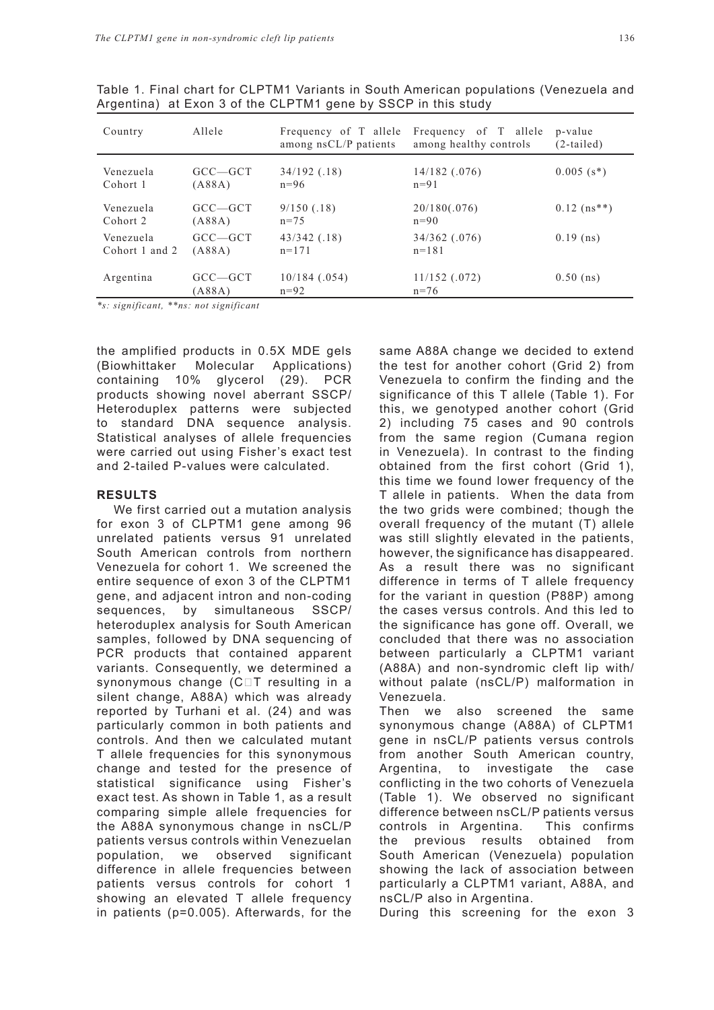| Country        | Allele       | Frequency of T allele<br>among nsCL/P patients | Frequency of T allele<br>among healthy controls | p-value<br>$(2-tailed)$    |
|----------------|--------------|------------------------------------------------|-------------------------------------------------|----------------------------|
| Venezuela      | $GCC - GCT$  | $34/192$ (.18)                                 | $14/182$ (.076)                                 | $0.005$ (s <sup>*</sup> )  |
| Cohort 1       | (A88A)       | $n = 96$                                       | $n=91$                                          |                            |
| Venezuela      | $GCC - GCT$  | $9/150$ (.18)                                  | 20/180(.076)                                    | $0.12$ (ns <sup>**</sup> ) |
| Cohort 2       | (A88A)       | $n = 75$                                       | $n=90$                                          |                            |
| Venezuela      | $GCC - GCT$  | $43/342$ (.18)                                 | 34/362 (.076)                                   | $0.19$ (ns)                |
| Cohort 1 and 2 | $($ A88A $)$ | $n=171$                                        | $n = 181$                                       |                            |

11/152 (.072)

 $n = 76$ 

Table 1. Final chart for CLPTM1 Variants in South American populations (Venezuela and Argentina) at Exon 3 of the CLPTM1 gene by SSCP in this study

10/184 (.054)

 $n=92$ 

*\*s: significant, \*\*ns: not significant*

(A88A)

Argentina GCC—GCT

the amplified products in 0.5X MDE gels (Biowhittaker Molecular Applications) containing 10% glycerol (29). PCR products showing novel aberrant SSCP/ Heteroduplex patterns were subjected to standard DNA sequence analysis. Statistical analyses of allele frequencies were carried out using Fisher's exact test and 2-tailed P-values were calculated.

# **RESULTS**

We first carried out a mutation analysis for exon 3 of CLPTM1 gene among 96 unrelated patients versus 91 unrelated South American controls from northern Venezuela for cohort 1. We screened the entire sequence of exon 3 of the CLPTM1 gene, and adjacent intron and non-coding sequences, by simultaneous SSCP/ heteroduplex analysis for South American samples, followed by DNA sequencing of PCR products that contained apparent variants. Consequently, we determined a synonymous change (C $\Box$ T resulting in a silent change, A88A) which was already reported by Turhani et al. (24) and was particularly common in both patients and controls. And then we calculated mutant T allele frequencies for this synonymous change and tested for the presence of statistical significance using Fisher's exact test. As shown in Table 1, as a result comparing simple allele frequencies for the A88A synonymous change in nsCL/P patients versus controls within Venezuelan population, we observed significant difference in allele frequencies between patients versus controls for cohort 1 showing an elevated T allele frequency in patients (p=0.005). Afterwards, for the

same A88A change we decided to extend the test for another cohort (Grid 2) from Venezuela to confirm the finding and the significance of this T allele (Table 1). For this, we genotyped another cohort (Grid 2) including 75 cases and 90 controls from the same region (Cumana region in Venezuela). In contrast to the finding obtained from the first cohort (Grid 1), this time we found lower frequency of the T allele in patients. When the data from the two grids were combined; though the overall frequency of the mutant (T) allele was still slightly elevated in the patients, however, the significance has disappeared. As a result there was no significant difference in terms of T allele frequency for the variant in question (P88P) among the cases versus controls. And this led to the significance has gone off. Overall, we concluded that there was no association between particularly a CLPTM1 variant (A88A) and non-syndromic cleft lip with/ without palate (nsCL/P) malformation in Venezuela.

Then we also screened the same synonymous change (A88A) of CLPTM1 gene in nsCL/P patients versus controls from another South American country, Argentina, to investigate the case conflicting in the two cohorts of Venezuela (Table 1). We observed no significant difference between nsCL/P patients versus controls in Argentina. This confirms the previous results obtained from South American (Venezuela) population showing the lack of association between particularly a CLPTM1 variant, A88A, and nsCL/P also in Argentina.

During this screening for the exon 3

0.50 (ns)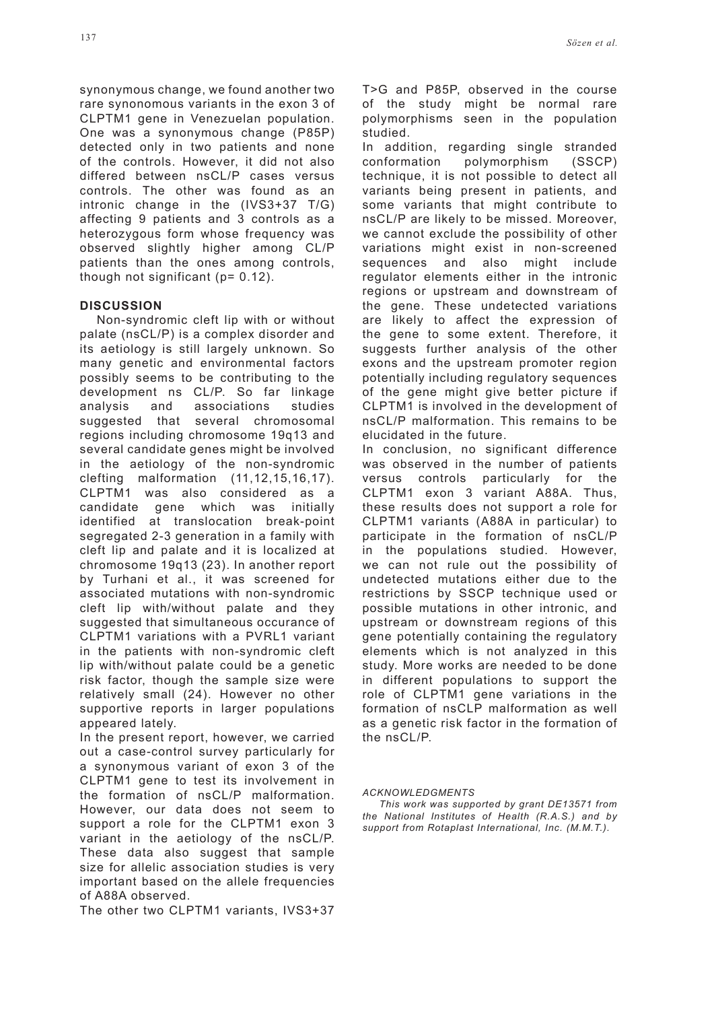synonymous change, we found another two rare synonomous variants in the exon 3 of CLPTM1 gene in Venezuelan population. One was a synonymous change (P85P) detected only in two patients and none of the controls. However, it did not also differed between nsCL/P cases versus controls. The other was found as an intronic change in the (IVS3+37 T/G) affecting 9 patients and 3 controls as a heterozygous form whose frequency was observed slightly higher among CL/P patients than the ones among controls, though not significant (p= 0.12).

## **DISCUSSION**

Non-syndromic cleft lip with or without palate (nsCL/P) is a complex disorder and its aetiology is still largely unknown. So many genetic and environmental factors possibly seems to be contributing to the development ns CL/P. So far linkage analysis and associations studies suggested that several chromosomal regions including chromosome 19q13 and several candidate genes might be involved in the aetiology of the non-syndromic clefting malformation (11,12,15,16,17). CLPTM1 was also considered as a candidate gene which was initially identified at translocation break-point segregated 2-3 generation in a family with cleft lip and palate and it is localized at chromosome 19q13 (23). In another report by Turhani et al., it was screened for associated mutations with non-syndromic cleft lip with/without palate and they suggested that simultaneous occurance of CLPTM1 variations with a PVRL1 variant in the patients with non-syndromic cleft lip with/without palate could be a genetic risk factor, though the sample size were relatively small (24). However no other supportive reports in larger populations appeared lately.

In the present report, however, we carried out a case-control survey particularly for a synonymous variant of exon 3 of the CLPTM1 gene to test its involvement in the formation of nsCL/P malformation. However, our data does not seem to support a role for the CLPTM1 exon 3 variant in the aetiology of the nsCL/P. These data also suggest that sample size for allelic association studies is very important based on the allele frequencies of A88A observed.

The other two CLPTM1 variants, IVS3+37

T>G and P85P, observed in the course of the study might be normal rare polymorphisms seen in the population studied.

In addition, regarding single stranded conformation polymorphism (SSCP) technique, it is not possible to detect all variants being present in patients, and some variants that might contribute to nsCL/P are likely to be missed. Moreover, we cannot exclude the possibility of other variations might exist in non-screened sequences and also might include regulator elements either in the intronic regions or upstream and downstream of the gene. These undetected variations are likely to affect the expression of the gene to some extent. Therefore, it suggests further analysis of the other exons and the upstream promoter region potentially including regulatory sequences of the gene might give better picture if CLPTM1 is involved in the development of nsCL/P malformation. This remains to be elucidated in the future.

In conclusion, no significant difference was observed in the number of patients versus controls particularly for the CLPTM1 exon 3 variant A88A. Thus, these results does not support a role for CLPTM1 variants (A88A in particular) to participate in the formation of nsCL/P in the populations studied. However, we can not rule out the possibility of undetected mutations either due to the restrictions by SSCP technique used or possible mutations in other intronic, and upstream or downstream regions of this gene potentially containing the regulatory elements which is not analyzed in this study. More works are needed to be done in different populations to support the role of CLPTM1 gene variations in the formation of nsCLP malformation as well as a genetic risk factor in the formation of the nsCL/P.

*ACKNOWLEDGMENTS*

*This work was supported by grant DE13571 from the National Institutes of Health (R.A.S.) and by support from Rotaplast International, Inc. (M.M.T.).*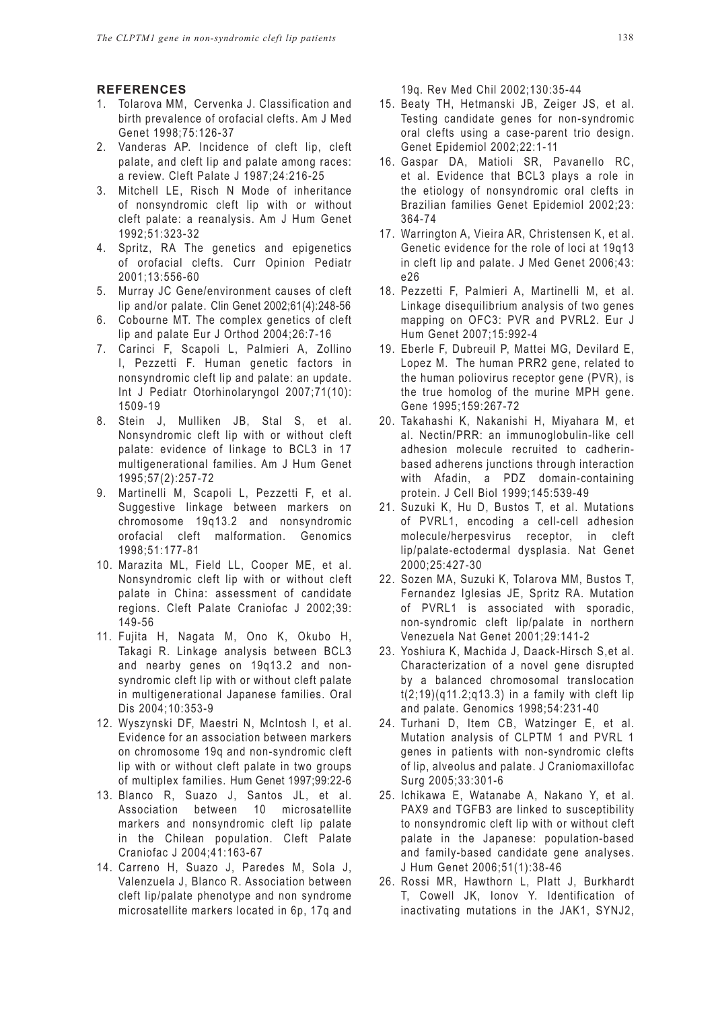#### **REFERENCES**

- 1. Tolarova MM, Cervenka J. Classification and birth prevalence of orofacial clefts. Am J Med Genet 1998;75:126-37
- 2. Vanderas AP. Incidence of cleft lip, cleft palate, and cleft lip and palate among races: a review. Cleft Palate J 1987;24:216-25
- 3. Mitchell LE, Risch N Mode of inheritance of nonsyndromic cleft lip with or without cleft palate: a reanalysis. Am J Hum Genet 1992;51:323-32
- 4. Spritz, RA The genetics and epigenetics of orofacial clefts. Curr Opinion Pediatr 2001;13:556-60
- 5. Murray JC Gene/environment causes of cleft lip and/or palate. Clin Genet 2002;61(4):248-56
- 6. Cobourne MT. The complex genetics of cleft lip and palate Eur J Orthod 2004;26:7-16
- 7. Carinci F, Scapoli L, Palmieri A, Zollino I, Pezzetti F. Human genetic factors in nonsyndromic cleft lip and palate: an update. Int J Pediatr Otorhinolaryngol 2007;71(10): 1509-19
- 8. Stein J, Mulliken JB, Stal S, et al. Nonsyndromic cleft lip with or without cleft palate: evidence of linkage to BCL3 in 17 multigenerational families. Am J Hum Genet 1995;57(2):257-72
- 9. Martinelli M, Scapoli L, Pezzetti F, et al. Suggestive linkage between markers on chromosome 19q13.2 and nonsyndromic orofacial cleft malformation. Genomics 1998;51:177-81
- 10. Marazita ML, Field LL, Cooper ME, et al. Nonsyndromic cleft lip with or without cleft palate in China: assessment of candidate regions. Cleft Palate Craniofac J 2002;39: 149-56
- 11. Fujita H, Nagata M, Ono K, Okubo H, Takagi R. Linkage analysis between BCL3 and nearby genes on 19q13.2 and nonsyndromic cleft lip with or without cleft palate in multigenerational Japanese families. Oral Dis 2004;10:353-9
- 12. Wyszynski DF, Maestri N, McIntosh I, et al. Evidence for an association between markers on chromosome 19q and non-syndromic cleft lip with or without cleft palate in two groups of multiplex families. Hum Genet 1997;99:22-6
- 13. Blanco R, Suazo J, Santos JL, et al. Association between 10 microsatellite markers and nonsyndromic cleft lip palate in the Chilean population. Cleft Palate Craniofac J 2004;41:163-67
- 14. Carreno H, Suazo J, Paredes M, Sola J, Valenzuela J, Blanco R. Association between cleft lip/palate phenotype and non syndrome microsatellite markers located in 6p, 17q and

19q. Rev Med Chil 2002;130:35-44

- 15. Beaty TH, Hetmanski JB, Zeiger JS, et al. Testing candidate genes for non-syndromic oral clefts using a case-parent trio design. Genet Epidemiol 2002;22:1-11
- 16. Gaspar DA, Matioli SR, Pavanello RC, et al. Evidence that BCL3 plays a role in the etiology of nonsyndromic oral clefts in Brazilian families Genet Epidemiol 2002;23: 364-74
- 17. Warrington A, Vieira AR, Christensen K, et al. Genetic evidence for the role of loci at 19q13 in cleft lip and palate. J Med Genet 2006;43: e26
- 18. Pezzetti F, Palmieri A, Martinelli M, et al. Linkage disequilibrium analysis of two genes mapping on OFC3: PVR and PVRL2. Eur J Hum Genet 2007;15:992-4
- 19. Eberle F, Dubreuil P, Mattei MG, Devilard E, Lopez M. The human PRR2 gene, related to the human poliovirus receptor gene (PVR), is the true homolog of the murine MPH gene. Gene 1995;159:267-72
- 20. Takahashi K, Nakanishi H, Miyahara M, et al. Nectin/PRR: an immunoglobulin-like cell adhesion molecule recruited to cadherinbased adherens junctions through interaction with Afadin, a PDZ domain-containing protein. J Cell Biol 1999;145:539-49
- 21. Suzuki K, Hu D, Bustos T, et al. Mutations of PVRL1, encoding a cell-cell adhesion molecule/herpesvirus receptor, in cleft lip/palate-ectodermal dysplasia. Nat Genet 2000;25:427-30
- 22. Sozen MA, Suzuki K, Tolarova MM, Bustos T, Fernandez Iglesias JE, Spritz RA. Mutation of PVRL1 is associated with sporadic, non-syndromic cleft lip/palate in northern Venezuela Nat Genet 2001;29:141-2
- 23. Yoshiura K, Machida J, Daack-Hirsch S,et al. Characterization of a novel gene disrupted by a balanced chromosomal translocation  $t(2;19)(q11.2;q13.3)$  in a family with cleft lip and palate. Genomics 1998;54:231-40
- 24. Turhani D, Item CB, Watzinger E, et al. Mutation analysis of CLPTM 1 and PVRL 1 genes in patients with non-syndromic clefts of lip, alveolus and palate. J Craniomaxillofac Surg 2005;33:301-6
- 25. Ichikawa E, Watanabe A, Nakano Y, et al. PAX9 and TGFB3 are linked to susceptibility to nonsyndromic cleft lip with or without cleft palate in the Japanese: population-based and family-based candidate gene analyses. J Hum Genet 2006;51(1):38-46
- 26. Rossi MR, Hawthorn L, Platt J, Burkhardt T, Cowell JK, Ionov Y. Identification of inactivating mutations in the JAK1, SYNJ2,